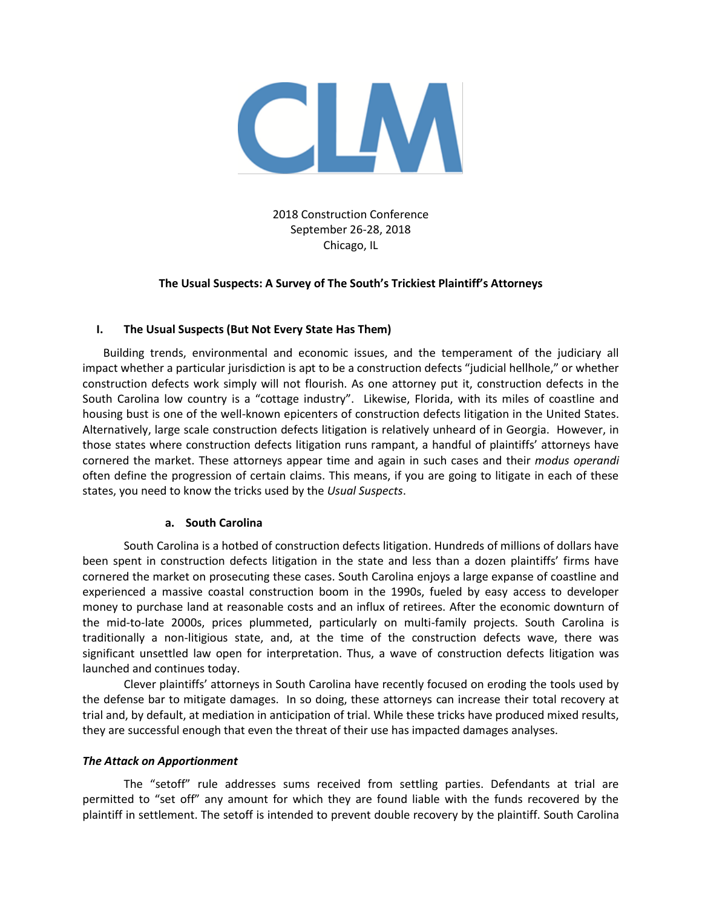

2018 Construction Conference September 26-28, 2018 Chicago, IL

## **The Usual Suspects: A Survey of The South's Trickiest Plaintiff's Attorneys**

### **I. The Usual Suspects (But Not Every State Has Them)**

Building trends, environmental and economic issues, and the temperament of the judiciary all impact whether a particular jurisdiction is apt to be a construction defects "judicial hellhole," or whether construction defects work simply will not flourish. As one attorney put it, construction defects in the South Carolina low country is a "cottage industry". Likewise, Florida, with its miles of coastline and housing bust is one of the well-known epicenters of construction defects litigation in the United States. Alternatively, large scale construction defects litigation is relatively unheard of in Georgia. However, in those states where construction defects litigation runs rampant, a handful of plaintiffs' attorneys have cornered the market. These attorneys appear time and again in such cases and their *modus operandi* often define the progression of certain claims. This means, if you are going to litigate in each of these states, you need to know the tricks used by the *Usual Suspects*.

### **a. South Carolina**

South Carolina is a hotbed of construction defects litigation. Hundreds of millions of dollars have been spent in construction defects litigation in the state and less than a dozen plaintiffs' firms have cornered the market on prosecuting these cases. South Carolina enjoys a large expanse of coastline and experienced a massive coastal construction boom in the 1990s, fueled by easy access to developer money to purchase land at reasonable costs and an influx of retirees. After the economic downturn of the mid-to-late 2000s, prices plummeted, particularly on multi-family projects. South Carolina is traditionally a non-litigious state, and, at the time of the construction defects wave, there was significant unsettled law open for interpretation. Thus, a wave of construction defects litigation was launched and continues today.

Clever plaintiffs' attorneys in South Carolina have recently focused on eroding the tools used by the defense bar to mitigate damages. In so doing, these attorneys can increase their total recovery at trial and, by default, at mediation in anticipation of trial. While these tricks have produced mixed results, they are successful enough that even the threat of their use has impacted damages analyses.

### *The Attack on Apportionment*

The "setoff" rule addresses sums received from settling parties. Defendants at trial are permitted to "set off" any amount for which they are found liable with the funds recovered by the plaintiff in settlement. The setoff is intended to prevent double recovery by the plaintiff. South Carolina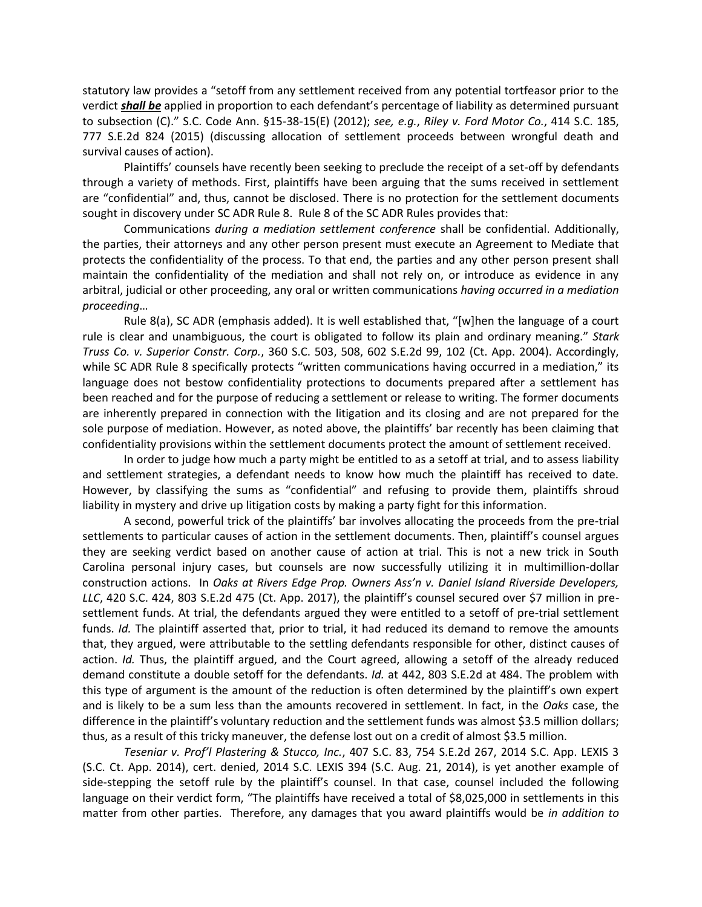statutory law provides a "setoff from any settlement received from any potential tortfeasor prior to the verdict *shall be* applied in proportion to each defendant's percentage of liability as determined pursuant to subsection (C)." S.C. Code Ann. §15-38-15(E) (2012); *see, e.g.*, *Riley v. Ford Motor Co.*, 414 S.C. 185, 777 S.E.2d 824 (2015) (discussing allocation of settlement proceeds between wrongful death and survival causes of action).

Plaintiffs' counsels have recently been seeking to preclude the receipt of a set-off by defendants through a variety of methods. First, plaintiffs have been arguing that the sums received in settlement are "confidential" and, thus, cannot be disclosed. There is no protection for the settlement documents sought in discovery under SC ADR Rule 8. Rule 8 of the SC ADR Rules provides that:

Communications *during a mediation settlement conference* shall be confidential. Additionally, the parties, their attorneys and any other person present must execute an Agreement to Mediate that protects the confidentiality of the process. To that end, the parties and any other person present shall maintain the confidentiality of the mediation and shall not rely on, or introduce as evidence in any arbitral, judicial or other proceeding, any oral or written communications *having occurred in a mediation proceeding*…

Rule 8(a), SC ADR (emphasis added). It is well established that, "[w]hen the language of a court rule is clear and unambiguous, the court is obligated to follow its plain and ordinary meaning." *Stark Truss Co. v. Superior Constr. Corp.*, 360 S.C. 503, 508, 602 S.E.2d 99, 102 (Ct. App. 2004). Accordingly, while SC ADR Rule 8 specifically protects "written communications having occurred in a mediation," its language does not bestow confidentiality protections to documents prepared after a settlement has been reached and for the purpose of reducing a settlement or release to writing. The former documents are inherently prepared in connection with the litigation and its closing and are not prepared for the sole purpose of mediation. However, as noted above, the plaintiffs' bar recently has been claiming that confidentiality provisions within the settlement documents protect the amount of settlement received.

In order to judge how much a party might be entitled to as a setoff at trial, and to assess liability and settlement strategies, a defendant needs to know how much the plaintiff has received to date. However, by classifying the sums as "confidential" and refusing to provide them, plaintiffs shroud liability in mystery and drive up litigation costs by making a party fight for this information.

A second, powerful trick of the plaintiffs' bar involves allocating the proceeds from the pre-trial settlements to particular causes of action in the settlement documents. Then, plaintiff's counsel argues they are seeking verdict based on another cause of action at trial. This is not a new trick in South Carolina personal injury cases, but counsels are now successfully utilizing it in multimillion-dollar construction actions. In *Oaks at Rivers Edge Prop. Owners Ass'n v. Daniel Island Riverside Developers, LLC*, 420 S.C. 424, 803 S.E.2d 475 (Ct. App. 2017), the plaintiff's counsel secured over \$7 million in presettlement funds. At trial, the defendants argued they were entitled to a setoff of pre-trial settlement funds. *Id.* The plaintiff asserted that, prior to trial, it had reduced its demand to remove the amounts that, they argued, were attributable to the settling defendants responsible for other, distinct causes of action. *Id.* Thus, the plaintiff argued, and the Court agreed, allowing a setoff of the already reduced demand constitute a double setoff for the defendants. *Id.* at 442, 803 S.E.2d at 484. The problem with this type of argument is the amount of the reduction is often determined by the plaintiff's own expert and is likely to be a sum less than the amounts recovered in settlement. In fact, in the *Oaks* case, the difference in the plaintiff's voluntary reduction and the settlement funds was almost \$3.5 million dollars; thus, as a result of this tricky maneuver, the defense lost out on a credit of almost \$3.5 million.

*Teseniar v. Prof'l Plastering & Stucco, Inc.*, 407 S.C. 83, 754 S.E.2d 267, 2014 S.C. App. LEXIS 3 (S.C. Ct. App. 2014), cert. denied, 2014 S.C. LEXIS 394 (S.C. Aug. 21, 2014), is yet another example of side-stepping the setoff rule by the plaintiff's counsel. In that case, counsel included the following language on their verdict form, "The plaintiffs have received a total of \$8,025,000 in settlements in this matter from other parties. Therefore, any damages that you award plaintiffs would be *in addition to*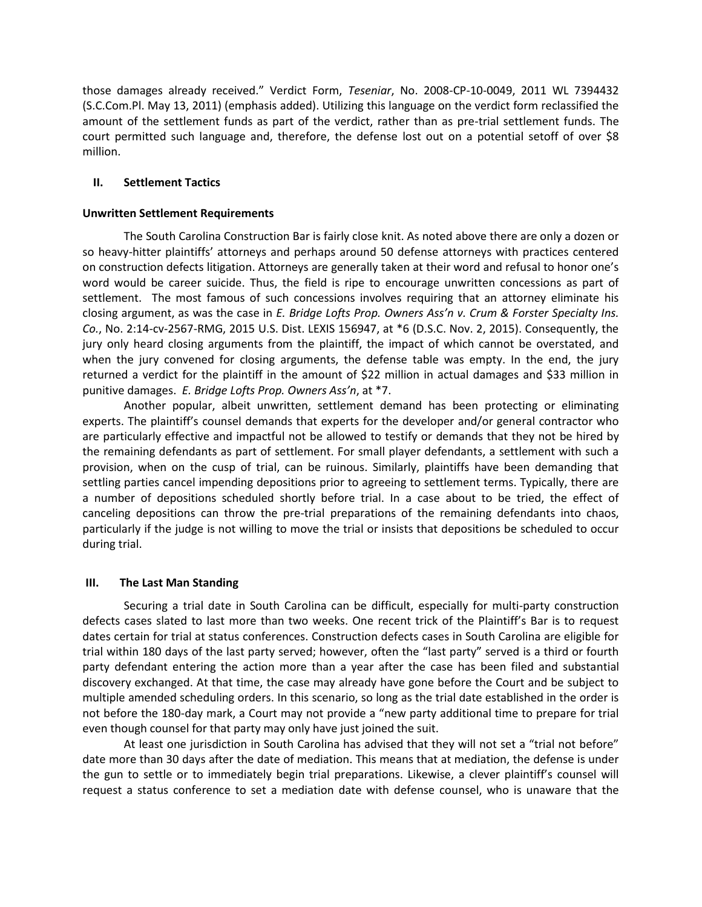those damages already received." Verdict Form, *Teseniar*, No. 2008-CP-10-0049, 2011 WL 7394432 (S.C.Com.Pl. May 13, 2011) (emphasis added). Utilizing this language on the verdict form reclassified the amount of the settlement funds as part of the verdict, rather than as pre-trial settlement funds. The court permitted such language and, therefore, the defense lost out on a potential setoff of over \$8 million.

### **II. Settlement Tactics**

### **Unwritten Settlement Requirements**

The South Carolina Construction Bar is fairly close knit. As noted above there are only a dozen or so heavy-hitter plaintiffs' attorneys and perhaps around 50 defense attorneys with practices centered on construction defects litigation. Attorneys are generally taken at their word and refusal to honor one's word would be career suicide. Thus, the field is ripe to encourage unwritten concessions as part of settlement. The most famous of such concessions involves requiring that an attorney eliminate his closing argument, as was the case in *E. Bridge Lofts Prop. Owners Ass'n v. Crum & Forster Specialty Ins. Co.*, No. 2:14-cv-2567-RMG, 2015 U.S. Dist. LEXIS 156947, at \*6 (D.S.C. Nov. 2, 2015). Consequently, the jury only heard closing arguments from the plaintiff, the impact of which cannot be overstated, and when the jury convened for closing arguments, the defense table was empty. In the end, the jury returned a verdict for the plaintiff in the amount of \$22 million in actual damages and \$33 million in punitive damages. *E. Bridge Lofts Prop. Owners Ass'n*, at \*7.

Another popular, albeit unwritten, settlement demand has been protecting or eliminating experts. The plaintiff's counsel demands that experts for the developer and/or general contractor who are particularly effective and impactful not be allowed to testify or demands that they not be hired by the remaining defendants as part of settlement. For small player defendants, a settlement with such a provision, when on the cusp of trial, can be ruinous. Similarly, plaintiffs have been demanding that settling parties cancel impending depositions prior to agreeing to settlement terms. Typically, there are a number of depositions scheduled shortly before trial. In a case about to be tried, the effect of canceling depositions can throw the pre-trial preparations of the remaining defendants into chaos, particularly if the judge is not willing to move the trial or insists that depositions be scheduled to occur during trial.

## **III. The Last Man Standing**

Securing a trial date in South Carolina can be difficult, especially for multi-party construction defects cases slated to last more than two weeks. One recent trick of the Plaintiff's Bar is to request dates certain for trial at status conferences. Construction defects cases in South Carolina are eligible for trial within 180 days of the last party served; however, often the "last party" served is a third or fourth party defendant entering the action more than a year after the case has been filed and substantial discovery exchanged. At that time, the case may already have gone before the Court and be subject to multiple amended scheduling orders. In this scenario, so long as the trial date established in the order is not before the 180-day mark, a Court may not provide a "new party additional time to prepare for trial even though counsel for that party may only have just joined the suit.

At least one jurisdiction in South Carolina has advised that they will not set a "trial not before" date more than 30 days after the date of mediation. This means that at mediation, the defense is under the gun to settle or to immediately begin trial preparations. Likewise, a clever plaintiff's counsel will request a status conference to set a mediation date with defense counsel, who is unaware that the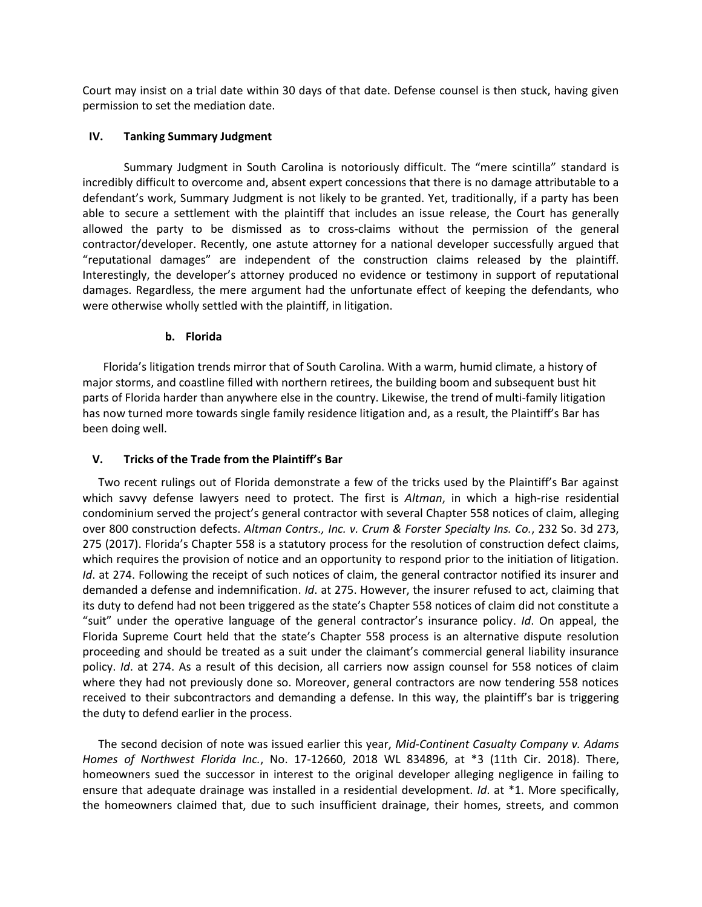Court may insist on a trial date within 30 days of that date. Defense counsel is then stuck, having given permission to set the mediation date.

### **IV. Tanking Summary Judgment**

Summary Judgment in South Carolina is notoriously difficult. The "mere scintilla" standard is incredibly difficult to overcome and, absent expert concessions that there is no damage attributable to a defendant's work, Summary Judgment is not likely to be granted. Yet, traditionally, if a party has been able to secure a settlement with the plaintiff that includes an issue release, the Court has generally allowed the party to be dismissed as to cross-claims without the permission of the general contractor/developer. Recently, one astute attorney for a national developer successfully argued that "reputational damages" are independent of the construction claims released by the plaintiff. Interestingly, the developer's attorney produced no evidence or testimony in support of reputational damages. Regardless, the mere argument had the unfortunate effect of keeping the defendants, who were otherwise wholly settled with the plaintiff, in litigation.

### **b. Florida**

Florida's litigation trends mirror that of South Carolina. With a warm, humid climate, a history of major storms, and coastline filled with northern retirees, the building boom and subsequent bust hit parts of Florida harder than anywhere else in the country. Likewise, the trend of multi-family litigation has now turned more towards single family residence litigation and, as a result, the Plaintiff's Bar has been doing well.

## **V. Tricks of the Trade from the Plaintiff's Bar**

Two recent rulings out of Florida demonstrate a few of the tricks used by the Plaintiff's Bar against which savvy defense lawyers need to protect. The first is *Altman*, in which a high-rise residential condominium served the project's general contractor with several Chapter 558 notices of claim, alleging over 800 construction defects. *Altman Contrs., Inc. v. Crum & Forster Specialty Ins. Co.*, 232 So. 3d 273, 275 (2017). Florida's Chapter 558 is a statutory process for the resolution of construction defect claims, which requires the provision of notice and an opportunity to respond prior to the initiation of litigation. *Id*. at 274. Following the receipt of such notices of claim, the general contractor notified its insurer and demanded a defense and indemnification. *Id*. at 275. However, the insurer refused to act, claiming that its duty to defend had not been triggered as the state's Chapter 558 notices of claim did not constitute a "suit" under the operative language of the general contractor's insurance policy. *Id*. On appeal, the Florida Supreme Court held that the state's Chapter 558 process is an alternative dispute resolution proceeding and should be treated as a suit under the claimant's commercial general liability insurance policy. *Id*. at 274. As a result of this decision, all carriers now assign counsel for 558 notices of claim where they had not previously done so. Moreover, general contractors are now tendering 558 notices received to their subcontractors and demanding a defense. In this way, the plaintiff's bar is triggering the duty to defend earlier in the process.

The second decision of note was issued earlier this year, *Mid-Continent Casualty Company v. Adams Homes of Northwest Florida Inc.*, No. 17-12660, 2018 WL 834896, at \*3 (11th Cir. 2018). There, homeowners sued the successor in interest to the original developer alleging negligence in failing to ensure that adequate drainage was installed in a residential development. *Id*. at \*1. More specifically, the homeowners claimed that, due to such insufficient drainage, their homes, streets, and common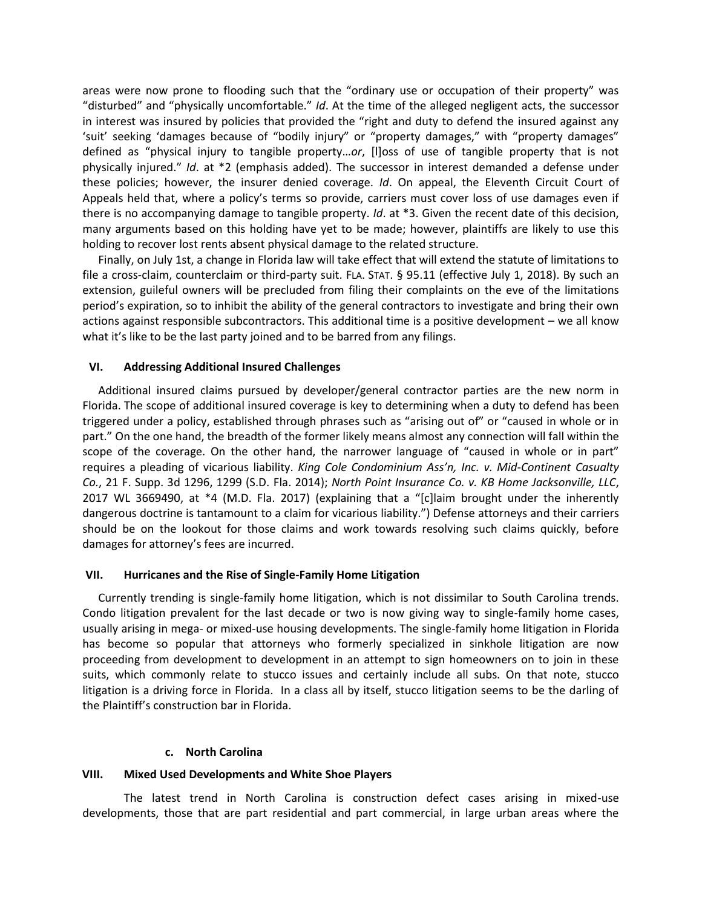areas were now prone to flooding such that the "ordinary use or occupation of their property" was "disturbed" and "physically uncomfortable." *Id*. At the time of the alleged negligent acts, the successor in interest was insured by policies that provided the "right and duty to defend the insured against any 'suit' seeking 'damages because of "bodily injury" or "property damages," with "property damages" defined as "physical injury to tangible property…*or*, [l]oss of use of tangible property that is not physically injured." *Id*. at \*2 (emphasis added). The successor in interest demanded a defense under these policies; however, the insurer denied coverage. *Id*. On appeal, the Eleventh Circuit Court of Appeals held that, where a policy's terms so provide, carriers must cover loss of use damages even if there is no accompanying damage to tangible property. *Id*. at \*3. Given the recent date of this decision, many arguments based on this holding have yet to be made; however, plaintiffs are likely to use this holding to recover lost rents absent physical damage to the related structure.

Finally, on July 1st, a change in Florida law will take effect that will extend the statute of limitations to file a cross-claim, counterclaim or third-party suit. FLA. STAT. § 95.11 (effective July 1, 2018). By such an extension, guileful owners will be precluded from filing their complaints on the eve of the limitations period's expiration, so to inhibit the ability of the general contractors to investigate and bring their own actions against responsible subcontractors. This additional time is a positive development – we all know what it's like to be the last party joined and to be barred from any filings.

### **VI. Addressing Additional Insured Challenges**

Additional insured claims pursued by developer/general contractor parties are the new norm in Florida. The scope of additional insured coverage is key to determining when a duty to defend has been triggered under a policy, established through phrases such as "arising out of" or "caused in whole or in part." On the one hand, the breadth of the former likely means almost any connection will fall within the scope of the coverage. On the other hand, the narrower language of "caused in whole or in part" requires a pleading of vicarious liability. *King Cole Condominium Ass'n, Inc. v. Mid-Continent Casualty Co.*, 21 F. Supp. 3d 1296, 1299 (S.D. Fla. 2014); *North Point Insurance Co. v. KB Home Jacksonville, LLC*, 2017 WL 3669490, at \*4 (M.D. Fla. 2017) (explaining that a "[c]laim brought under the inherently dangerous doctrine is tantamount to a claim for vicarious liability.") Defense attorneys and their carriers should be on the lookout for those claims and work towards resolving such claims quickly, before damages for attorney's fees are incurred.

#### **VII. Hurricanes and the Rise of Single-Family Home Litigation**

Currently trending is single-family home litigation, which is not dissimilar to South Carolina trends. Condo litigation prevalent for the last decade or two is now giving way to single-family home cases, usually arising in mega- or mixed-use housing developments. The single-family home litigation in Florida has become so popular that attorneys who formerly specialized in sinkhole litigation are now proceeding from development to development in an attempt to sign homeowners on to join in these suits, which commonly relate to stucco issues and certainly include all subs. On that note, stucco litigation is a driving force in Florida. In a class all by itself, stucco litigation seems to be the darling of the Plaintiff's construction bar in Florida.

#### **c. North Carolina**

### **VIII. Mixed Used Developments and White Shoe Players**

The latest trend in North Carolina is construction defect cases arising in mixed-use developments, those that are part residential and part commercial, in large urban areas where the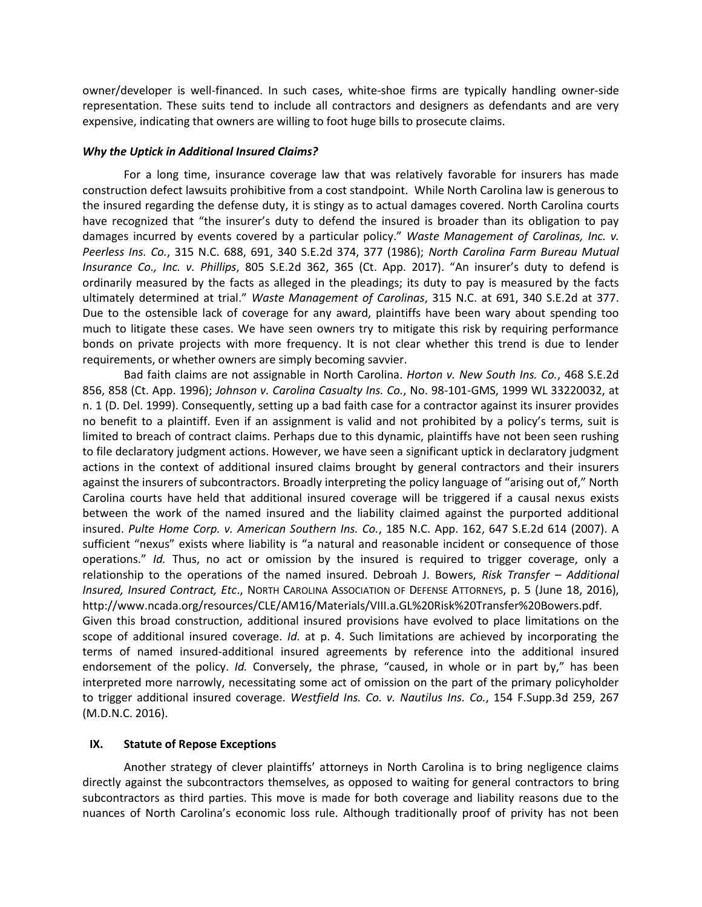owner/developer is well-financed. In such cases, white-shoe firms are typically handling owner-side representation. These suits tend to include all contractors and designers as defendants and are very expensive, indicating that owners are willing to foot huge bills to prosecute claims.

### *Why the Uptick in Additional Insured Claims?*

For a long time, insurance coverage law that was relatively favorable for insurers has made construction defect lawsuits prohibitive from a cost standpoint. While North Carolina law is generous to the insured regarding the defense duty, it is stingy as to actual damages covered. North Carolina courts have recognized that "the insurer's duty to defend the insured is broader than its obligation to pay damages incurred by events covered by a particular policy." *Waste Management of Carolinas, Inc. v. Peerless Ins. Co.*, 315 N.C. 688, 691, 340 S.E.2d 374, 377 (1986); *North Carolina Farm Bureau Mutual Insurance Co., Inc. v. Phillips*, 805 S.E.2d 362, 365 (Ct. App. 2017). "An insurer's duty to defend is ordinarily measured by the facts as alleged in the pleadings; its duty to pay is measured by the facts ultimately determined at trial." *Waste Management of Carolinas*, 315 N.C. at 691, 340 S.E.2d at 377. Due to the ostensible lack of coverage for any award, plaintiffs have been wary about spending too much to litigate these cases. We have seen owners try to mitigate this risk by requiring performance bonds on private projects with more frequency. It is not clear whether this trend is due to lender requirements, or whether owners are simply becoming savvier.

Bad faith claims are not assignable in North Carolina. *Horton v. New South Ins. Co.*, 468 S.E.2d 856, 858 (Ct. App. 1996); *Johnson v. Carolina Casualty Ins. Co.*, No. 98-101-GMS, 1999 WL 33220032, at n. 1 (D. Del. 1999). Consequently, setting up a bad faith case for a contractor against its insurer provides no benefit to a plaintiff. Even if an assignment is valid and not prohibited by a policy's terms, suit is limited to breach of contract claims. Perhaps due to this dynamic, plaintiffs have not been seen rushing to file declaratory judgment actions. However, we have seen a significant uptick in declaratory judgment actions in the context of additional insured claims brought by general contractors and their insurers against the insurers of subcontractors. Broadly interpreting the policy language of "arising out of," North Carolina courts have held that additional insured coverage will be triggered if a causal nexus exists between the work of the named insured and the liability claimed against the purported additional insured. *Pulte Home Corp. v. American Southern Ins. Co.*, 185 N.C. App. 162, 647 S.E.2d 614 (2007). A sufficient "nexus" exists where liability is "a natural and reasonable incident or consequence of those operations." *Id.* Thus, no act or omission by the insured is required to trigger coverage, only a relationship to the operations of the named insured. Debroah J. Bowers, *Risk Transfer – Additional Insured, Insured Contract, Etc*., NORTH CAROLINA ASSOCIATION OF DEFENSE ATTORNEYS, p. 5 (June 18, 2016), http://www.ncada.org/resources/CLE/AM16/Materials/VIII.a.GL%20Risk%20Transfer%20Bowers.pdf.

Given this broad construction, additional insured provisions have evolved to place limitations on the scope of additional insured coverage. *Id.* at p. 4. Such limitations are achieved by incorporating the terms of named insured-additional insured agreements by reference into the additional insured endorsement of the policy. *Id.* Conversely, the phrase, "caused, in whole or in part by," has been interpreted more narrowly, necessitating some act of omission on the part of the primary policyholder to trigger additional insured coverage. *Westfield Ins. Co. v. Nautilus Ins. Co.*, 154 F.Supp.3d 259, 267 (M.D.N.C. 2016).

### **IX. Statute of Repose Exceptions**

Another strategy of clever plaintiffs' attorneys in North Carolina is to bring negligence claims directly against the subcontractors themselves, as opposed to waiting for general contractors to bring subcontractors as third parties. This move is made for both coverage and liability reasons due to the nuances of North Carolina's economic loss rule. Although traditionally proof of privity has not been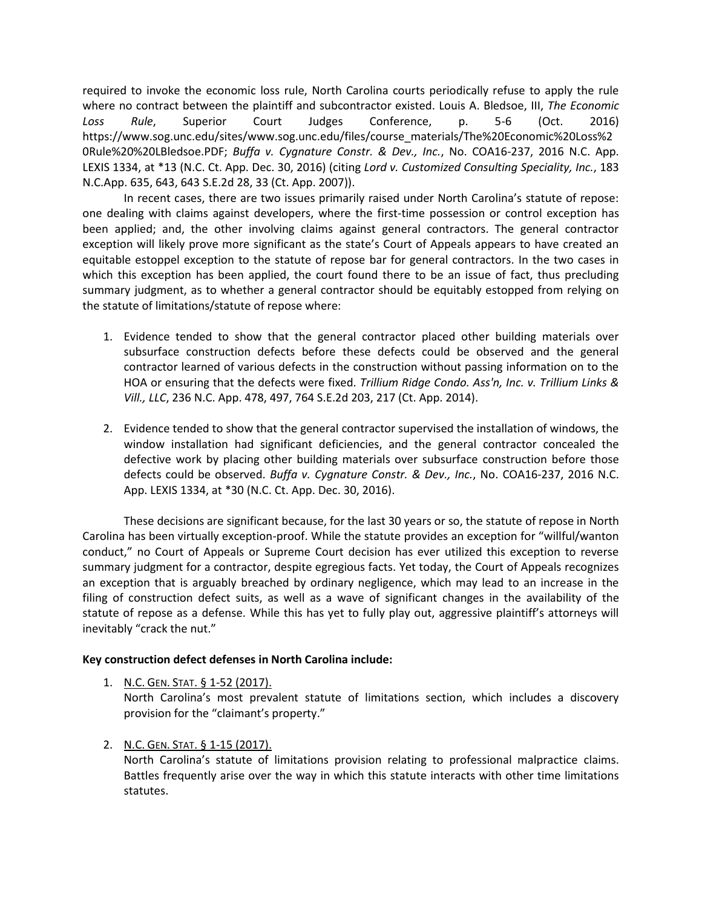required to invoke the economic loss rule, North Carolina courts periodically refuse to apply the rule where no contract between the plaintiff and subcontractor existed. Louis A. Bledsoe, III, *The Economic Loss Rule*, Superior Court Judges Conference, p. 5-6 (Oct. 2016) https://www.sog.unc.edu/sites/www.sog.unc.edu/files/course\_materials/The%20Economic%20Loss%2 0Rule%20%20LBledsoe.PDF; *Buffa v. Cygnature Constr. & Dev., Inc.*, No. COA16-237, 2016 N.C. App. LEXIS 1334, at \*13 (N.C. Ct. App. Dec. 30, 2016) (citing *Lord v. Customized Consulting Speciality, Inc.*, 183 N.C.App. 635, 643, 643 S.E.2d 28, 33 (Ct. App. 2007)).

In recent cases, there are two issues primarily raised under North Carolina's statute of repose: one dealing with claims against developers, where the first-time possession or control exception has been applied; and, the other involving claims against general contractors. The general contractor exception will likely prove more significant as the state's Court of Appeals appears to have created an equitable estoppel exception to the statute of repose bar for general contractors. In the two cases in which this exception has been applied, the court found there to be an issue of fact, thus precluding summary judgment, as to whether a general contractor should be equitably estopped from relying on the statute of limitations/statute of repose where:

- 1. Evidence tended to show that the general contractor placed other building materials over subsurface construction defects before these defects could be observed and the general contractor learned of various defects in the construction without passing information on to the HOA or ensuring that the defects were fixed. *Trillium Ridge Condo. Ass'n, Inc. v. Trillium Links & Vill., LLC*, 236 N.C. App. 478, 497, 764 S.E.2d 203, 217 (Ct. App. 2014).
- 2. Evidence tended to show that the general contractor supervised the installation of windows, the window installation had significant deficiencies, and the general contractor concealed the defective work by placing other building materials over subsurface construction before those defects could be observed. *Buffa v. Cygnature Constr. & Dev., Inc.*, No. COA16-237, 2016 N.C. App. LEXIS 1334, at \*30 (N.C. Ct. App. Dec. 30, 2016).

These decisions are significant because, for the last 30 years or so, the statute of repose in North Carolina has been virtually exception-proof. While the statute provides an exception for "willful/wanton conduct," no Court of Appeals or Supreme Court decision has ever utilized this exception to reverse summary judgment for a contractor, despite egregious facts. Yet today, the Court of Appeals recognizes an exception that is arguably breached by ordinary negligence, which may lead to an increase in the filing of construction defect suits, as well as a wave of significant changes in the availability of the statute of repose as a defense. While this has yet to fully play out, aggressive plaintiff's attorneys will inevitably "crack the nut."

## **Key construction defect defenses in North Carolina include:**

North Carolina's most prevalent statute of limitations section, which includes a discovery provision for the "claimant's property."

## 2. N.C. GEN. STAT. § 1-15 (2017).

North Carolina's statute of limitations provision relating to professional malpractice claims. Battles frequently arise over the way in which this statute interacts with other time limitations statutes.

<sup>1.</sup> N.C. GEN. STAT. § 1-52 (2017).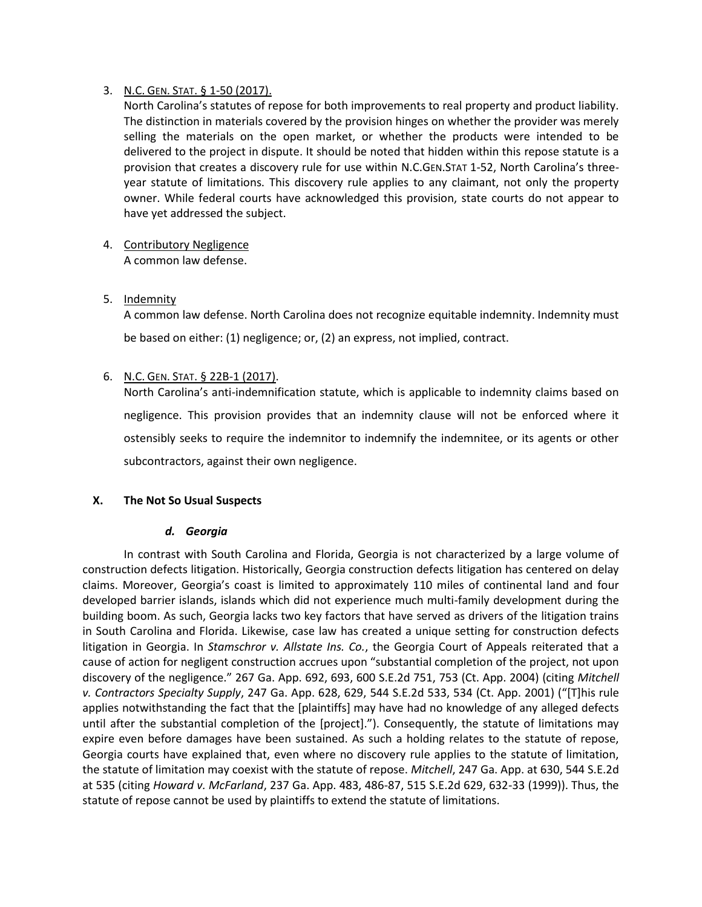# 3. N.C. GEN. STAT. § 1-50 (2017).

North Carolina's statutes of repose for both improvements to real property and product liability. The distinction in materials covered by the provision hinges on whether the provider was merely selling the materials on the open market, or whether the products were intended to be delivered to the project in dispute. It should be noted that hidden within this repose statute is a provision that creates a discovery rule for use within N.C.GEN.STAT 1-52, North Carolina's threeyear statute of limitations. This discovery rule applies to any claimant, not only the property owner. While federal courts have acknowledged this provision, state courts do not appear to have yet addressed the subject.

- 4. Contributory Negligence A common law defense.
- 5. Indemnity

A common law defense. North Carolina does not recognize equitable indemnity. Indemnity must be based on either: (1) negligence; or, (2) an express, not implied, contract.

# 6. N.C. GEN. STAT. § 22B-1 (2017).

North Carolina's anti-indemnification statute, which is applicable to indemnity claims based on negligence. This provision provides that an indemnity clause will not be enforced where it ostensibly seeks to require the indemnitor to indemnify the indemnitee, or its agents or other subcontractors, against their own negligence.

## **X. The Not So Usual Suspects**

## *d. Georgia*

In contrast with South Carolina and Florida, Georgia is not characterized by a large volume of construction defects litigation. Historically, Georgia construction defects litigation has centered on delay claims. Moreover, Georgia's coast is limited to approximately 110 miles of continental land and four developed barrier islands, islands which did not experience much multi-family development during the building boom. As such, Georgia lacks two key factors that have served as drivers of the litigation trains in South Carolina and Florida. Likewise, case law has created a unique setting for construction defects litigation in Georgia. In *Stamschror v. Allstate Ins. Co.*, the Georgia Court of Appeals reiterated that a cause of action for negligent construction accrues upon "substantial completion of the project, not upon discovery of the negligence." 267 Ga. App. 692, 693, 600 S.E.2d 751, 753 (Ct. App. 2004) (citing *Mitchell v. Contractors Specialty Supply*, 247 Ga. App. 628, 629, 544 S.E.2d 533, 534 (Ct. App. 2001) ("[T]his rule applies notwithstanding the fact that the [plaintiffs] may have had no knowledge of any alleged defects until after the substantial completion of the [project]."). Consequently, the statute of limitations may expire even before damages have been sustained. As such a holding relates to the statute of repose, Georgia courts have explained that, even where no discovery rule applies to the statute of limitation, the statute of limitation may coexist with the statute of repose. *Mitchell*, 247 Ga. App. at 630, 544 S.E.2d at 535 (citing *Howard v. McFarland*, 237 Ga. App. 483, 486-87, 515 S.E.2d 629, 632-33 (1999)). Thus, the statute of repose cannot be used by plaintiffs to extend the statute of limitations.